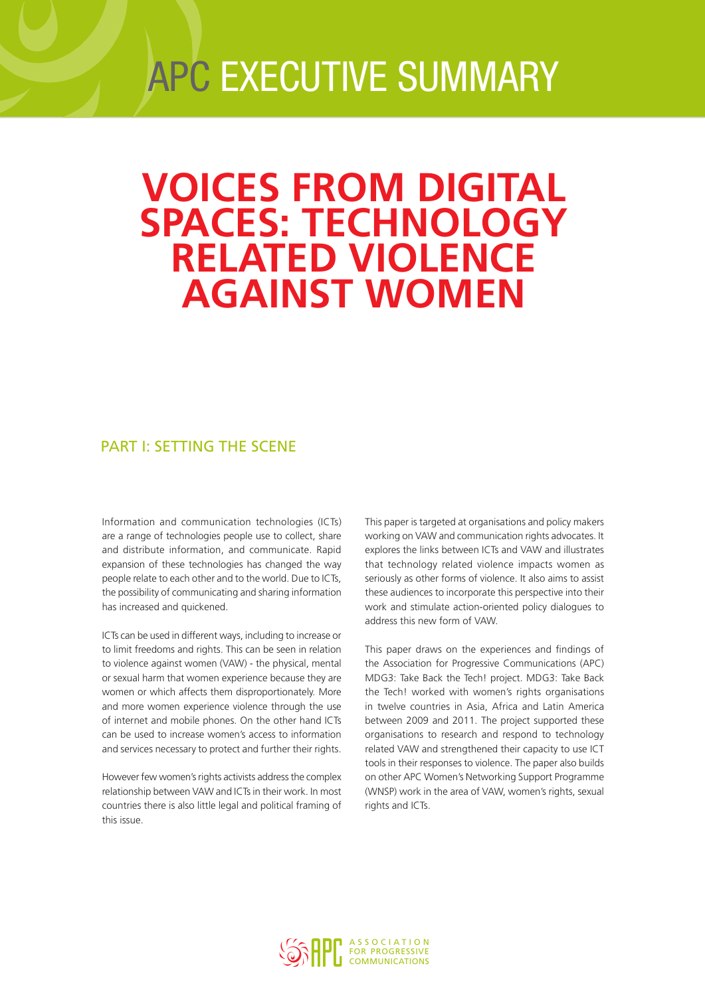# APC EXECUTIVE SUMMARY

## **VOICES FROM DIGITAL SPACES: TECHNOLOGY RELATED VIOLENCE AGAINST WOMEN**

## PART I: SETTING THE SCENE

Information and communication technologies (ICTs) are a range of technologies people use to collect, share and distribute information, and communicate. Rapid expansion of these technologies has changed the way people relate to each other and to the world. Due to ICTs, the possibility of communicating and sharing information has increased and quickened.

ICTs can be used in different ways, including to increase or to limit freedoms and rights. This can be seen in relation to violence against women (VAW) - the physical, mental or sexual harm that women experience because they are women or which affects them disproportionately. More and more women experience violence through the use of internet and mobile phones. On the other hand ICTs can be used to increase women's access to information and services necessary to protect and further their rights.

However few women's rights activists address the complex relationship between VAW and ICTs in their work. In most countries there is also little legal and political framing of this issue.

This paper is targeted at organisations and policy makers working on VAW and communication rights advocates. It explores the links between ICTs and VAW and illustrates that technology related violence impacts women as seriously as other forms of violence. It also aims to assist these audiences to incorporate this perspective into their work and stimulate action-oriented policy dialogues to address this new form of VAW.

This paper draws on the experiences and findings of the Association for Progressive Communications (APC) MDG3: Take Back the Tech! project. MDG3: Take Back the Tech! worked with women's rights organisations in twelve countries in Asia, Africa and Latin America between 2009 and 2011. The project supported these organisations to research and respond to technology related VAW and strengthened their capacity to use ICT tools in their responses to violence. The paper also builds on other APC Women's Networking Support Programme (WNSP) work in the area of VAW, women's rights, sexual rights and ICTs.

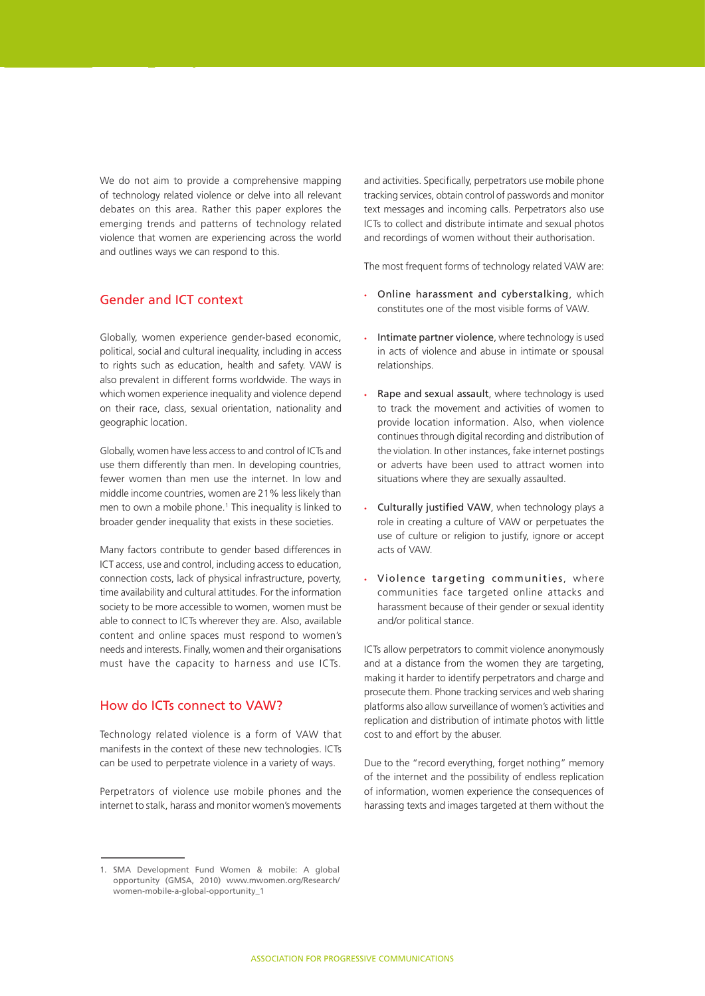We do not aim to provide a comprehensive mapping of technology related violence or delve into all relevant debates on this area. Rather this paper explores the emerging trends and patterns of technology related violence that women are experiencing across the world and outlines ways we can respond to this.

#### Gender and ICT context

Globally, women experience gender-based economic, political, social and cultural inequality, including in access to rights such as education, health and safety. VAW is also prevalent in different forms worldwide. The ways in which women experience inequality and violence depend on their race, class, sexual orientation, nationality and geographic location.

Globally, women have less access to and control of ICTs and use them differently than men. In developing countries, fewer women than men use the internet. In low and middle income countries, women are 21% less likely than men to own a mobile phone.<sup>1</sup> This inequality is linked to broader gender inequality that exists in these societies.

Many factors contribute to gender based differences in ICT access, use and control, including access to education, connection costs, lack of physical infrastructure, poverty, time availability and cultural attitudes. For the information society to be more accessible to women, women must be able to connect to ICTs wherever they are. Also, available content and online spaces must respond to women's needs and interests. Finally, women and their organisations must have the capacity to harness and use ICTs.

#### How do ICTs connect to VAW?

Technology related violence is a form of VAW that manifests in the context of these new technologies. ICTs can be used to perpetrate violence in a variety of ways.

Perpetrators of violence use mobile phones and the internet to stalk, harass and monitor women's movements and activities. Specifically, perpetrators use mobile phone tracking services, obtain control of passwords and monitor text messages and incoming calls. Perpetrators also use ICTs to collect and distribute intimate and sexual photos and recordings of women without their authorisation.

The most frequent forms of technology related VAW are:

- • Online harassment and cyberstalking, which constitutes one of the most visible forms of VAW.
- Intimate partner violence, where technology is used in acts of violence and abuse in intimate or spousal relationships.
- Rape and sexual assault, where technology is used to track the movement and activities of women to provide location information. Also, when violence continues through digital recording and distribution of the violation. In other instances, fake internet postings or adverts have been used to attract women into situations where they are sexually assaulted.
- Culturally justified VAW, when technology plays a role in creating a culture of VAW or perpetuates the use of culture or religion to justify, ignore or accept acts of VAW.
- • Violence targeting communities, where communities face targeted online attacks and harassment because of their gender or sexual identity and/or political stance.

ICTs allow perpetrators to commit violence anonymously and at a distance from the women they are targeting, making it harder to identify perpetrators and charge and prosecute them. Phone tracking services and web sharing platforms also allow surveillance of women's activities and replication and distribution of intimate photos with little cost to and effort by the abuser.

Due to the "record everything, forget nothing" memory of the internet and the possibility of endless replication of information, women experience the consequences of harassing texts and images targeted at them without the

<sup>1.</sup> SMA Development Fund Women & mobile: A global opportunity (GMSA, 2010) www.mwomen.org/Research/ women-mobile-a-global-opportunity\_1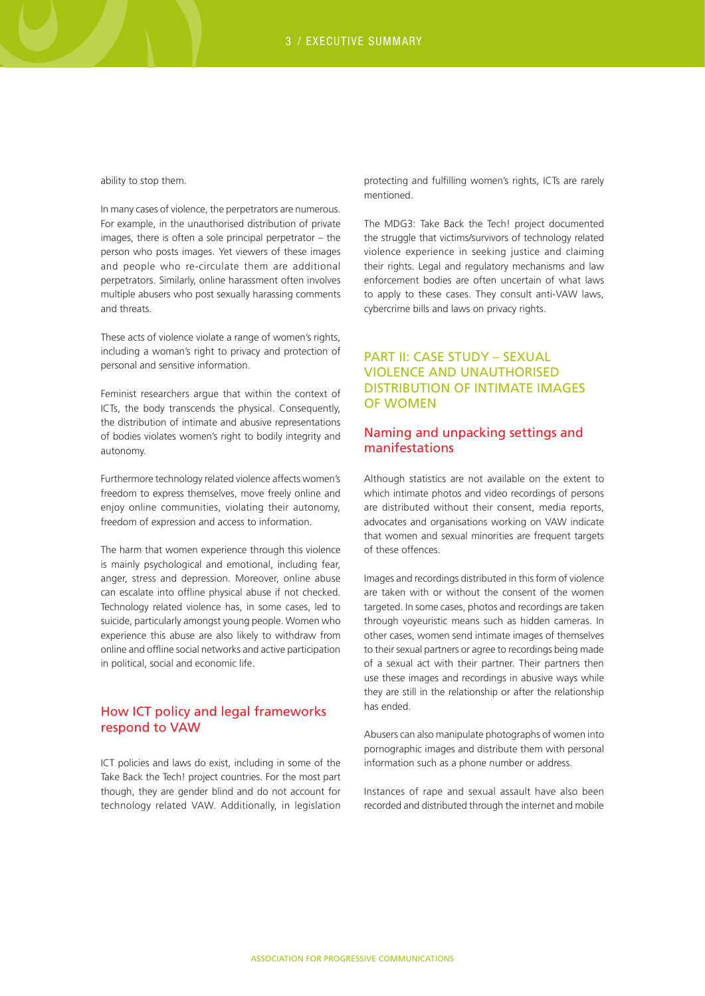ability to stop them.

In many cases of violence, the perpetrators are numerous. For example, in the unauthorised distribution of private images, there is often a sole principal perpetrator – the person who posts images. Yet viewers of these images and people who re-circulate them are additional perpetrators. Similarly, online harassment often involves multiple abusers who post sexually harassing comments and threats.

These acts of violence violate a range of women's rights, including a woman's right to privacy and protection of personal and sensitive information.

Feminist researchers argue that within the context of ICTs, the body transcends the physical. Consequently, the distribution of intimate and abusive representations of bodies violates women's right to bodily integrity and autonomy.

Furthermore technology related violence affects women's freedom to express themselves, move freely online and enjoy online communities, violating their autonomy, freedom of expression and access to information.

The harm that women experience through this violence is mainly psychological and emotional, including fear, anger, stress and depression. Moreover, online abuse can escalate into offline physical abuse if not checked. Technology related violence has, in some cases, led to suicide, particularly amongst young people. Women who experience this abuse are also likely to withdraw from online and offline social networks and active participation in political, social and economic life.

#### How ICT policy and legal frameworks respond to VAW

ICT policies and laws do exist, including in some of the Take Back the Tech! project countries. For the most part though, they are gender blind and do not account for technology related VAW. Additionally, in legislation

protecting and fulfilling women's rights, ICTs are rarely mentioned.

The MDG3: Take Back the Tech! project documented the struggle that victims/survivors of technology related violence experience in seeking justice and claiming their rights. Legal and regulatory mechanisms and law enforcement bodies are often uncertain of what laws to apply to these cases. They consult anti-VAW laws, cybercrime bills and laws on privacy rights.

#### PART II: CASE STUDY – SEXUAL VIOLENCE AND UNAUTHORISED DISTRIBUTION OF INTIMATE IMAGES OF WOMEN

#### Naming and unpacking settings and manifestations

Although statistics are not available on the extent to which intimate photos and video recordings of persons are distributed without their consent, media reports, advocates and organisations working on VAW indicate that women and sexual minorities are frequent targets of these offences.

Images and recordings distributed in this form of violence are taken with or without the consent of the women targeted. In some cases, photos and recordings are taken through voyeuristic means such as hidden cameras. In other cases, women send intimate images of themselves to their sexual partners or agree to recordings being made of a sexual act with their partner. Their partners then use these images and recordings in abusive ways while they are still in the relationship or after the relationship has ended.

Abusers can also manipulate photographs of women into pornographic images and distribute them with personal information such as a phone number or address.

Instances of rape and sexual assault have also been recorded and distributed through the internet and mobile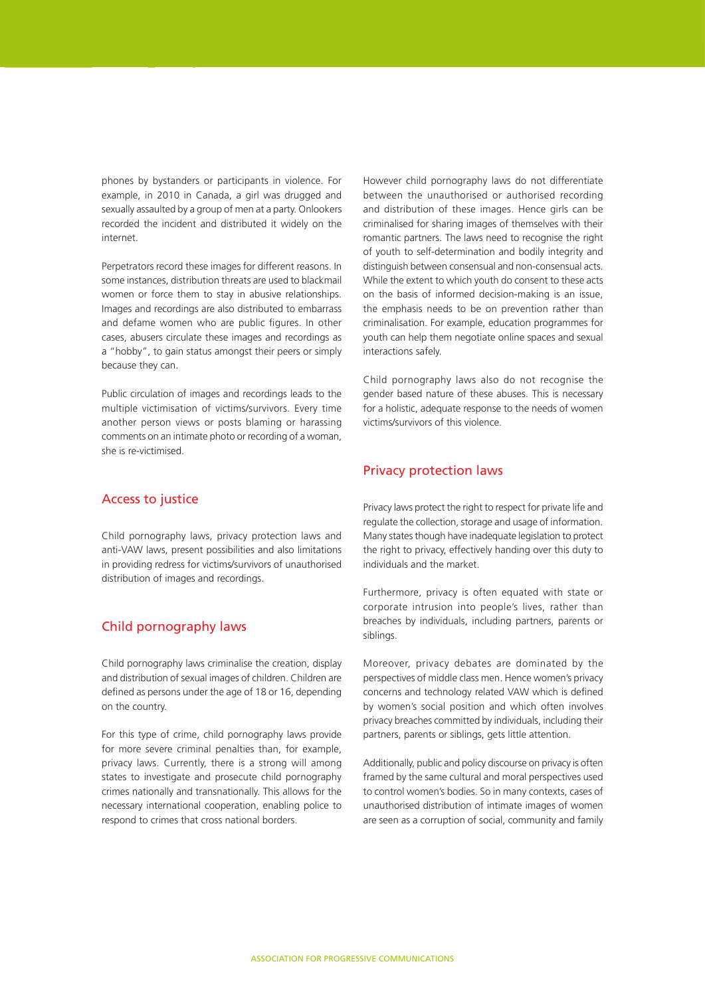phones by bystanders or participants in violence. For example, in 2010 in Canada, a girl was drugged and sexually assaulted by a group of men at a party. Onlookers recorded the incident and distributed it widely on the internet.

Perpetrators record these images for different reasons. In some instances, distribution threats are used to blackmail women or force them to stay in abusive relationships. Images and recordings are also distributed to embarrass and defame women who are public figures. In other cases, abusers circulate these images and recordings as a "hobby", to gain status amongst their peers or simply because they can.

Public circulation of images and recordings leads to the multiple victimisation of victims/survivors. Every time another person views or posts blaming or harassing comments on an intimate photo or recording of a woman, she is re-victimised.

#### Access to justice

Child pornography laws, privacy protection laws and anti-VAW laws, present possibilities and also limitations in providing redress for victims/survivors of unauthorised distribution of images and recordings.

#### Child pornography laws

Child pornography laws criminalise the creation, display and distribution of sexual images of children. Children are defined as persons under the age of 18 or 16, depending on the country.

For this type of crime, child pornography laws provide for more severe criminal penalties than, for example, privacy laws. Currently, there is a strong will among states to investigate and prosecute child pornography crimes nationally and transnationally. This allows for the necessary international cooperation, enabling police to respond to crimes that cross national borders.

However child pornography laws do not differentiate between the unauthorised or authorised recording and distribution of these images. Hence girls can be criminalised for sharing images of themselves with their romantic partners. The laws need to recognise the right of youth to self-determination and bodily integrity and distinguish between consensual and non-consensual acts. While the extent to which youth do consent to these acts on the basis of informed decision-making is an issue, the emphasis needs to be on prevention rather than criminalisation. For example, education programmes for youth can help them negotiate online spaces and sexual interactions safely.

Child pornography laws also do not recognise the gender based nature of these abuses. This is necessary for a holistic, adequate response to the needs of women victims/survivors of this violence.

#### Privacy protection laws

Privacy laws protect the right to respect for private life and regulate the collection, storage and usage of information. Many states though have inadequate legislation to protect the right to privacy, effectively handing over this duty to individuals and the market.

Furthermore, privacy is often equated with state or corporate intrusion into people's lives, rather than breaches by individuals, including partners, parents or siblings.

Moreover, privacy debates are dominated by the perspectives of middle class men. Hence women's privacy concerns and technology related VAW which is defined by women's social position and which often involves privacy breaches committed by individuals, including their partners, parents or siblings, gets little attention.

Additionally, public and policy discourse on privacy is often framed by the same cultural and moral perspectives used to control women's bodies. So in many contexts, cases of unauthorised distribution of intimate images of women are seen as a corruption of social, community and family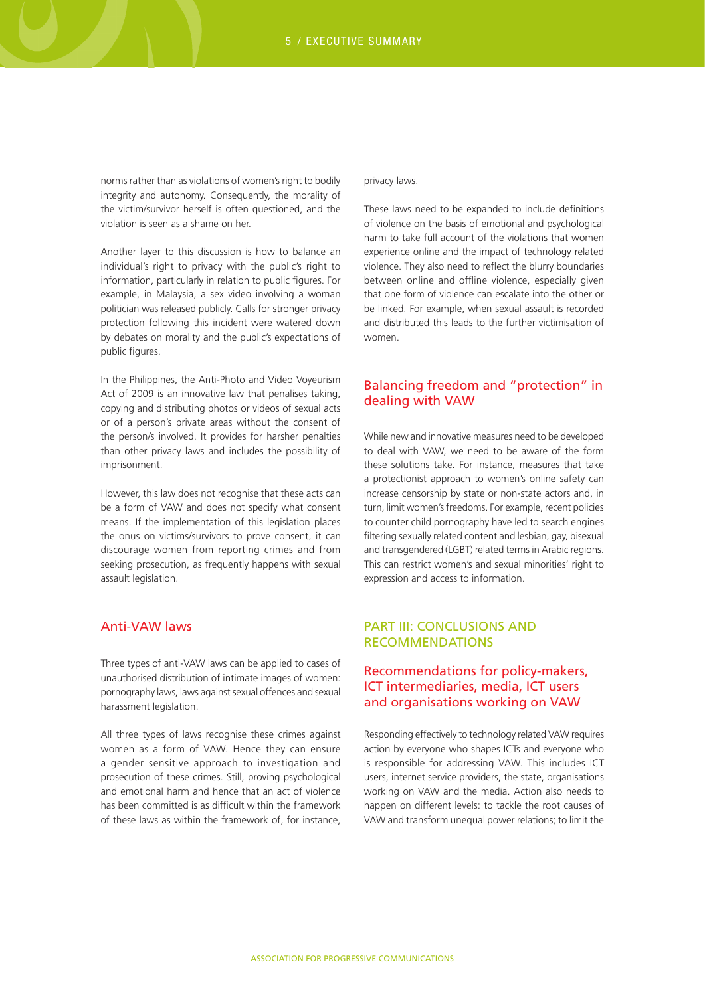norms rather than as violations of women's right to bodily integrity and autonomy. Consequently, the morality of the victim/survivor herself is often questioned, and the violation is seen as a shame on her.

Another layer to this discussion is how to balance an individual's right to privacy with the public's right to information, particularly in relation to public figures. For example, in Malaysia, a sex video involving a woman politician was released publicly. Calls for stronger privacy protection following this incident were watered down by debates on morality and the public's expectations of public figures.

In the Philippines, the Anti-Photo and Video Voyeurism Act of 2009 is an innovative law that penalises taking, copying and distributing photos or videos of sexual acts or of a person's private areas without the consent of the person/s involved. It provides for harsher penalties than other privacy laws and includes the possibility of imprisonment.

However, this law does not recognise that these acts can be a form of VAW and does not specify what consent means. If the implementation of this legislation places the onus on victims/survivors to prove consent, it can discourage women from reporting crimes and from seeking prosecution, as frequently happens with sexual assault legislation.

#### Anti-VAW laws

Three types of anti-VAW laws can be applied to cases of unauthorised distribution of intimate images of women: pornography laws, laws against sexual offences and sexual harassment legislation.

All three types of laws recognise these crimes against women as a form of VAW. Hence they can ensure a gender sensitive approach to investigation and prosecution of these crimes. Still, proving psychological and emotional harm and hence that an act of violence has been committed is as difficult within the framework of these laws as within the framework of, for instance,

#### privacy laws.

These laws need to be expanded to include definitions of violence on the basis of emotional and psychological harm to take full account of the violations that women experience online and the impact of technology related violence. They also need to reflect the blurry boundaries between online and offline violence, especially given that one form of violence can escalate into the other or be linked. For example, when sexual assault is recorded and distributed this leads to the further victimisation of women.

#### Balancing freedom and "protection" in dealing with VAW

While new and innovative measures need to be developed to deal with VAW, we need to be aware of the form these solutions take. For instance, measures that take a protectionist approach to women's online safety can increase censorship by state or non-state actors and, in turn, limit women's freedoms. For example, recent policies to counter child pornography have led to search engines filtering sexually related content and lesbian, gay, bisexual and transgendered (LGBT) related terms in Arabic regions. This can restrict women's and sexual minorities' right to expression and access to information.

#### PART III: CONCLUSIONS AND RECOMMENDATIONS

#### Recommendations for policy-makers, ICT intermediaries, media, ICT users and organisations working on VAW

Responding effectively to technology related VAW requires action by everyone who shapes ICTs and everyone who is responsible for addressing VAW. This includes ICT users, internet service providers, the state, organisations working on VAW and the media. Action also needs to happen on different levels: to tackle the root causes of VAW and transform unequal power relations; to limit the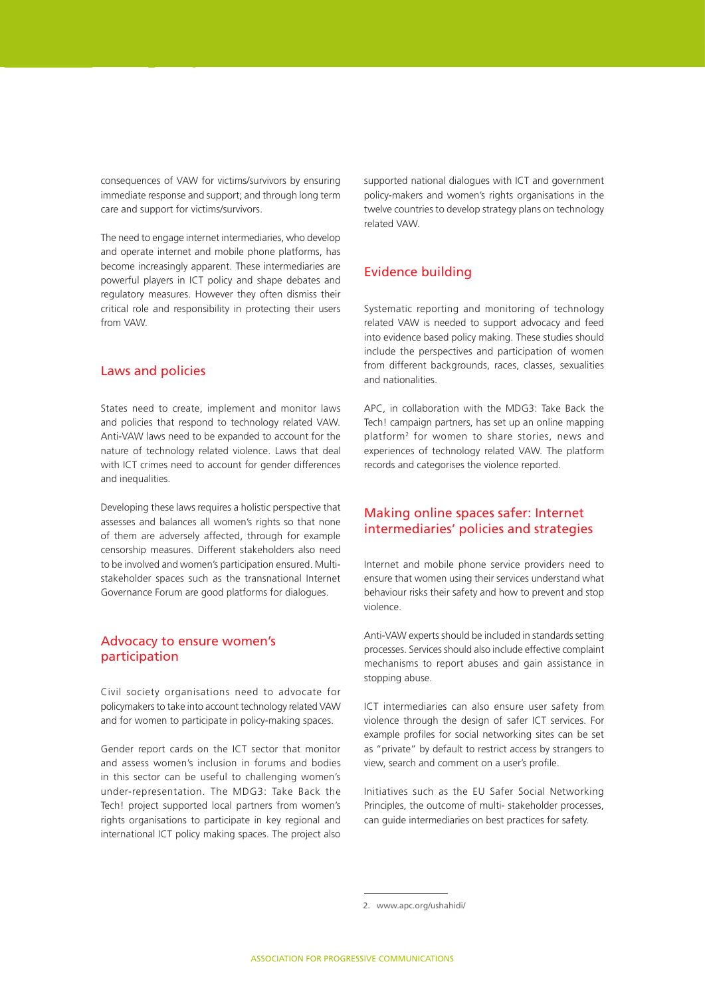consequences of VAW for victims/survivors by ensuring immediate response and support; and through long term care and support for victims/survivors.

The need to engage internet intermediaries, who develop and operate internet and mobile phone platforms, has become increasingly apparent. These intermediaries are powerful players in ICT policy and shape debates and regulatory measures. However they often dismiss their critical role and responsibility in protecting their users from VAW.

#### Laws and policies

States need to create, implement and monitor laws and policies that respond to technology related VAW. Anti-VAW laws need to be expanded to account for the nature of technology related violence. Laws that deal with ICT crimes need to account for gender differences and inequalities.

Developing these laws requires a holistic perspective that assesses and balances all women's rights so that none of them are adversely affected, through for example censorship measures. Different stakeholders also need to be involved and women's participation ensured. Multistakeholder spaces such as the transnational Internet Governance Forum are good platforms for dialogues.

#### Advocacy to ensure women's participation

Civil society organisations need to advocate for policymakers to take into account technology related VAW and for women to participate in policy-making spaces.

Gender report cards on the ICT sector that monitor and assess women's inclusion in forums and bodies in this sector can be useful to challenging women's under-representation. The MDG3: Take Back the Tech! project supported local partners from women's rights organisations to participate in key regional and international ICT policy making spaces. The project also

supported national dialogues with ICT and government policy-makers and women's rights organisations in the twelve countries to develop strategy plans on technology related VAW.

#### Evidence building

Systematic reporting and monitoring of technology related VAW is needed to support advocacy and feed into evidence based policy making. These studies should include the perspectives and participation of women from different backgrounds, races, classes, sexualities and nationalities.

APC, in collaboration with the MDG3: Take Back the Tech! campaign partners, has set up an online mapping platform2 for women to share stories, news and experiences of technology related VAW. The platform records and categorises the violence reported.

#### Making online spaces safer: Internet intermediaries' policies and strategies

Internet and mobile phone service providers need to ensure that women using their services understand what behaviour risks their safety and how to prevent and stop violence.

Anti-VAW experts should be included in standards setting processes. Services should also include effective complaint mechanisms to report abuses and gain assistance in stopping abuse.

ICT intermediaries can also ensure user safety from violence through the design of safer ICT services. For example profiles for social networking sites can be set as "private" by default to restrict access by strangers to view, search and comment on a user's profile.

Initiatives such as the EU Safer Social Networking Principles, the outcome of multi- stakeholder processes, can guide intermediaries on best practices for safety.

<sup>2.</sup> www.apc.org/ushahidi/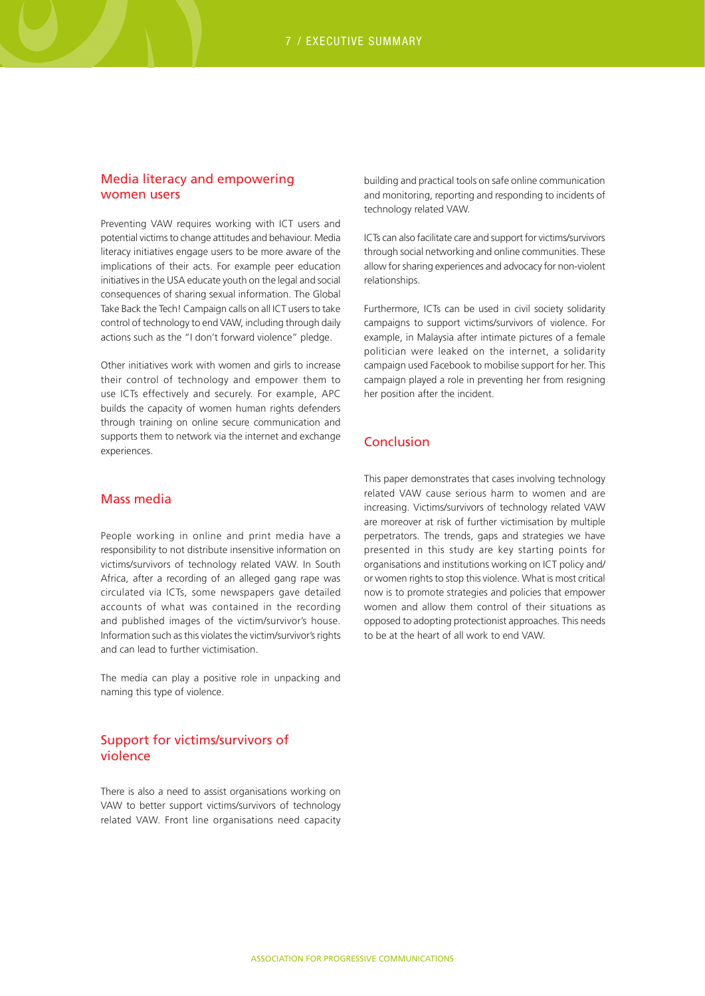#### Media literacy and empowering women users

Preventing VAW requires working with ICT users and potential victims to change attitudes and behaviour. Media literacy initiatives engage users to be more aware of the implications of their acts. For example peer education initiatives in the USA educate youth on the legal and social consequences of sharing sexual information. The Global Take Back the Tech! Campaign calls on all ICT users to take control of technology to end VAW, including through daily actions such as the "I don't forward violence" pledge.

Other initiatives work with women and girls to increase their control of technology and empower them to use ICTs effectively and securely. For example, APC builds the capacity of women human rights defenders through training on online secure communication and supports them to network via the internet and exchange experiences.

#### Mass media

People working in online and print media have a responsibility to not distribute insensitive information on victims/survivors of technology related VAW. In South Africa, after a recording of an alleged gang rape was circulated via ICTs, some newspapers gave detailed accounts of what was contained in the recording and published images of the victim/survivor's house. Information such as this violates the victim/survivor's rights and can lead to further victimisation.

The media can play a positive role in unpacking and naming this type of violence.

#### Support for victims/survivors of violence

There is also a need to assist organisations working on VAW to better support victims/survivors of technology related VAW. Front line organisations need capacity

building and practical tools on safe online communication and monitoring, reporting and responding to incidents of technology related VAW.

ICTs can also facilitate care and support for victims/survivors through social networking and online communities. These allow for sharing experiences and advocacy for non-violent relationships.

Furthermore, ICTs can be used in civil society solidarity campaigns to support victims/survivors of violence. For example, in Malaysia after intimate pictures of a female politician were leaked on the internet, a solidarity campaign used Facebook to mobilise support for her. This campaign played a role in preventing her from resigning her position after the incident.

#### Conclusion

This paper demonstrates that cases involving technology related VAW cause serious harm to women and are increasing. Victims/survivors of technology related VAW are moreover at risk of further victimisation by multiple perpetrators. The trends, gaps and strategies we have presented in this study are key starting points for organisations and institutions working on ICT policy and/ or women rights to stop this violence. What is most critical now is to promote strategies and policies that empower women and allow them control of their situations as opposed to adopting protectionist approaches. This needs to be at the heart of all work to end VAW.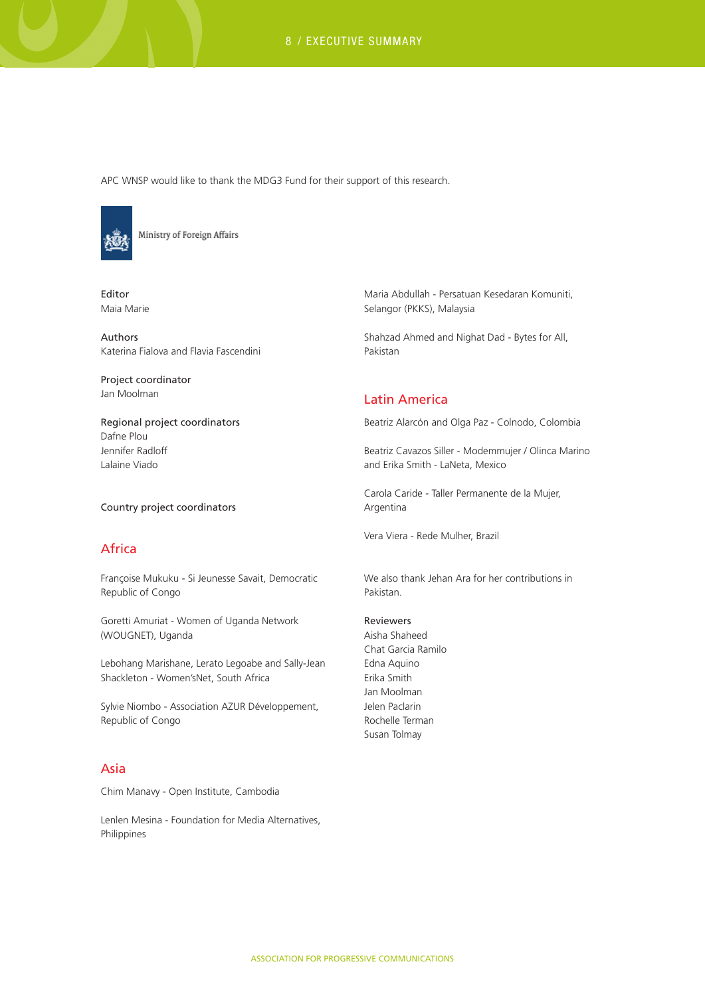8 / EXECUTIVE SUMMARY

APC WNSP would like to thank the MDG3 Fund for their support of this research.



Ministry of Foreign Affairs

Editor Maia Marie

Authors Katerina Fialova and Flavia Fascendini

Project coordinator Jan Moolman

Regional project coordinators Dafne Plou Jennifer Radloff Lalaine Viado

Country project coordinators

### Africa

Françoise Mukuku - Si Jeunesse Savait, Democratic Republic of Congo

Goretti Amuriat - Women of Uganda Network (WOUGNET), Uganda

Lebohang Marishane, Lerato Legoabe and Sally-Jean Shackleton - Women'sNet, South Africa

Sylvie Niombo - Association AZUR Développement, Republic of Congo

#### Asia

Chim Manavy - Open Institute, Cambodia

Lenlen Mesina - Foundation for Media Alternatives, Philippines

Maria Abdullah - Persatuan Kesedaran Komuniti, Selangor (PKKS), Malaysia

Shahzad Ahmed and Nighat Dad - Bytes for All, Pakistan

#### Latin America

Beatriz Alarcón and Olga Paz - Colnodo, Colombia

Beatriz Cavazos Siller - Modemmujer / Olinca Marino and Erika Smith - LaNeta, Mexico

Carola Caride - Taller Permanente de la Mujer, Argentina

Vera Viera - Rede Mulher, Brazil

We also thank Jehan Ara for her contributions in Pakistan.

#### Reviewers

Aisha Shaheed Chat Garcia Ramilo Edna Aquino Erika Smith Jan Moolman Jelen Paclarin Rochelle Terman Susan Tolmay